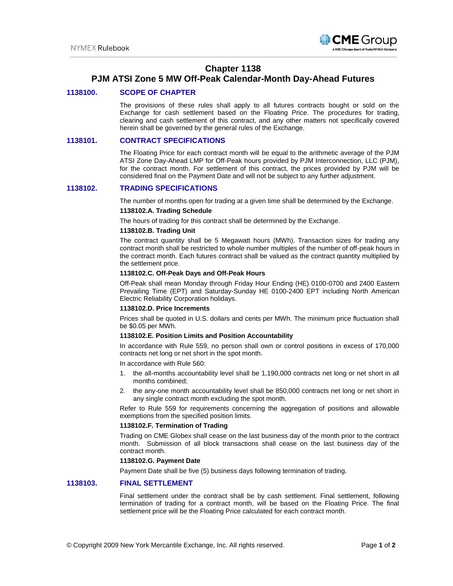

## **Chapter 1138**

# **PJM ATSI Zone 5 MW Off-Peak Calendar-Month Day-Ahead Futures**

## **1138100. SCOPE OF CHAPTER**

The provisions of these rules shall apply to all futures contracts bought or sold on the Exchange for cash settlement based on the Floating Price. The procedures for trading, clearing and cash settlement of this contract, and any other matters not specifically covered herein shall be governed by the general rules of the Exchange.

## **1138101. CONTRACT SPECIFICATIONS**

The Floating Price for each contract month will be equal to the arithmetic average of the PJM ATSI Zone Day-Ahead LMP for Off-Peak hours provided by PJM Interconnection, LLC (PJM), for the contract month. For settlement of this contract, the prices provided by PJM will be considered final on the Payment Date and will not be subject to any further adjustment.

## **1138102. TRADING SPECIFICATIONS**

The number of months open for trading at a given time shall be determined by the Exchange.

## **1138102.A. Trading Schedule**

The hours of trading for this contract shall be determined by the Exchange.

## **1138102.B. Trading Unit**

The contract quantity shall be 5 Megawatt hours (MWh). Transaction sizes for trading any contract month shall be restricted to whole number multiples of the number of off-peak hours in the contract month. Each futures contract shall be valued as the contract quantity multiplied by the settlement price.

#### **1138102.C. Off-Peak Days and Off-Peak Hours**

Off-Peak shall mean Monday through Friday Hour Ending (HE) 0100-0700 and 2400 Eastern Prevailing Time (EPT) and Saturday-Sunday HE 0100-2400 EPT including North American Electric Reliability Corporation holidays.

#### **1138102.D. Price Increments**

Prices shall be quoted in U.S. dollars and cents per MWh. The minimum price fluctuation shall be \$0.05 per MWh.

#### **1138102.E. Position Limits and Position Accountability**

In accordance with Rule 559, no person shall own or control positions in excess of 170,000 contracts net long or net short in the spot month.

In accordance with Rule 560:

- 1. the all-months accountability level shall be 1,190,000 contracts net long or net short in all months combined;
- 2. the any-one month accountability level shall be 850,000 contracts net long or net short in any single contract month excluding the spot month.

Refer to Rule 559 for requirements concerning the aggregation of positions and allowable exemptions from the specified position limits.

#### **1138102.F. Termination of Trading**

Trading on CME Globex shall cease on the last business day of the month prior to the contract month. Submission of all block transactions shall cease on the last business day of the contract month.

#### **1138102.G. Payment Date**

Payment Date shall be five (5) business days following termination of trading.

### **1138103. FINAL SETTLEMENT**

Final settlement under the contract shall be by cash settlement. Final settlement, following termination of trading for a contract month, will be based on the Floating Price. The final settlement price will be the Floating Price calculated for each contract month.